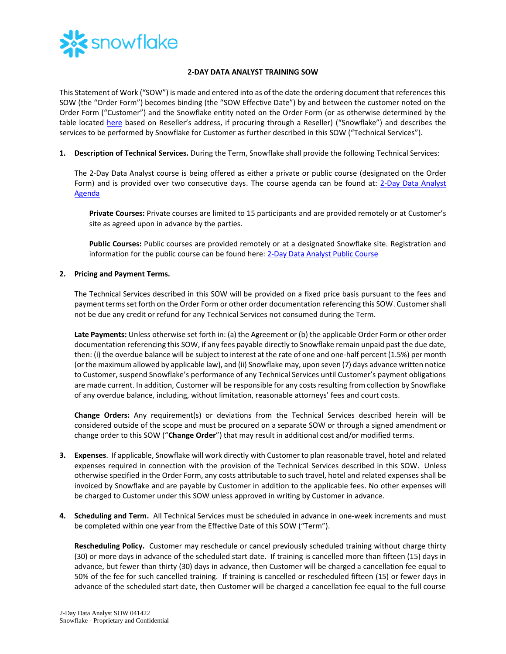

## **2-DAY DATA ANALYST TRAINING SOW**

This Statement of Work ("SOW") is made and entered into as of the date the ordering document that references this SOW (the "Order Form") becomes binding (the "SOW Effective Date") by and between the customer noted on the Order Form ("Customer") and the Snowflake entity noted on the Order Form (or as otherwise determined by the table located [here](https://www.snowflake.com/legal/snowflake-contracting-entities/) based on Reseller's address, if procuring through a Reseller) ("Snowflake") and describes the services to be performed by Snowflake for Customer as further described in this SOW ("Technical Services").

**1. Description of Technical Services.** During the Term, Snowflake shall provide the following Technical Services:

The 2-Day Data Analyst course is being offered as either a private or public course (designated on the Order Form) and is provided over two consecutive days. The course agenda can be found at: [2-Day Data Analyst](https://bit.ly/DA2Day-datasheet)  [Agenda](https://bit.ly/DA2Day-datasheet)

**Private Courses:** Private courses are limited to 15 participants and are provided remotely or at Customer's site as agreed upon in advance by the parties.

**Public Courses:** Public courses are provided remotely or at a designated Snowflake site. Registration and information for the public course can be found here[: 2-Day Data Analyst Public Course](https://training.snowflake.com/schedule)

## **2. Pricing and Payment Terms.**

The Technical Services described in this SOW will be provided on a fixed price basis pursuant to the fees and payment termsset forth on the Order Form or other order documentation referencing this SOW. Customer shall not be due any credit or refund for any Technical Services not consumed during the Term.

**Late Payments:** Unless otherwise set forth in: (a) the Agreement or (b) the applicable Order Form or other order documentation referencing this SOW, if any fees payable directly to Snowflake remain unpaid past the due date, then: (i) the overdue balance will be subject to interest at the rate of one and one-half percent (1.5%) per month (or the maximum allowed by applicable law), and (ii) Snowflake may, upon seven (7) days advance written notice to Customer, suspend Snowflake's performance of any Technical Services until Customer's payment obligations are made current. In addition, Customer will be responsible for any costs resulting from collection by Snowflake of any overdue balance, including, without limitation, reasonable attorneys' fees and court costs.

**Change Orders:** Any requirement(s) or deviations from the Technical Services described herein will be considered outside of the scope and must be procured on a separate SOW or through a signed amendment or change order to this SOW ("**Change Order**") that may result in additional cost and/or modified terms.

- **3. Expenses**. If applicable, Snowflake will work directly with Customer to plan reasonable travel, hotel and related expenses required in connection with the provision of the Technical Services described in this SOW. Unless otherwise specified in the Order Form, any costs attributable to such travel, hotel and related expenses shall be invoiced by Snowflake and are payable by Customer in addition to the applicable fees. No other expenses will be charged to Customer under this SOW unless approved in writing by Customer in advance.
- **4. Scheduling and Term.** All Technical Services must be scheduled in advance in one-week increments and must be completed within one year from the Effective Date of this SOW ("Term").

**Rescheduling Policy.** Customer may reschedule or cancel previously scheduled training without charge thirty (30) or more days in advance of the scheduled start date. If training is cancelled more than fifteen (15) days in advance, but fewer than thirty (30) days in advance, then Customer will be charged a cancellation fee equal to 50% of the fee for such cancelled training. If training is cancelled or rescheduled fifteen (15) or fewer days in advance of the scheduled start date, then Customer will be charged a cancellation fee equal to the full course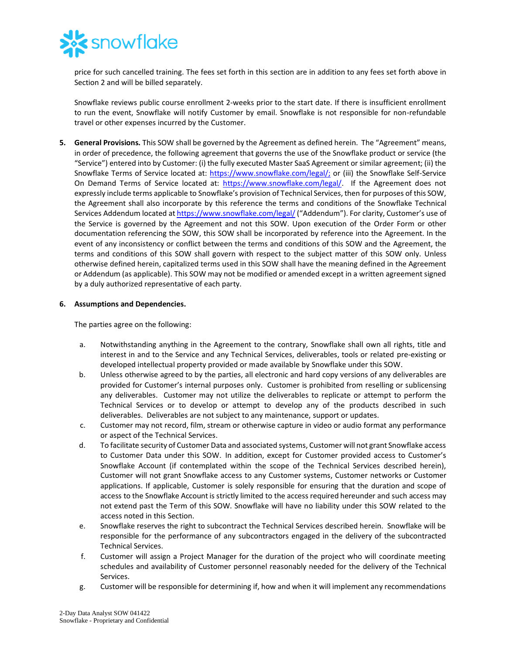

price for such cancelled training. The fees set forth in this section are in addition to any fees set forth above in Section 2 and will be billed separately.

Snowflake reviews public course enrollment 2-weeks prior to the start date. If there is insufficient enrollment to run the event, Snowflake will notify Customer by email. Snowflake is not responsible for non-refundable travel or other expenses incurred by the Customer.

**5. General Provisions.** This SOW shall be governed by the Agreement as defined herein. The "Agreement" means, in order of precedence, the following agreement that governs the use of the Snowflake product or service (the "Service") entered into by Customer: (i) the fully executed Master SaaS Agreement or similar agreement; (ii) the Snowflake Terms of Service located at: [https://www.snowflake.com/legal/;](https://www.snowflake.com/legal/) or (iii) the Snowflake Self-Service On Demand Terms of Service located at: [https://www.snowflake.com/legal/.](https://www.snowflake.com/legal/) If the Agreement does not expressly include terms applicable to Snowflake's provision of Technical Services, then for purposes of this SOW, the Agreement shall also incorporate by this reference the terms and conditions of the Snowflake Technical Services Addendum located a[t https://www.snowflake.com/legal/](https://www.snowflake.com/legal/) ("Addendum"). For clarity, Customer's use of the Service is governed by the Agreement and not this SOW. Upon execution of the Order Form or other documentation referencing the SOW, this SOW shall be incorporated by reference into the Agreement. In the event of any inconsistency or conflict between the terms and conditions of this SOW and the Agreement, the terms and conditions of this SOW shall govern with respect to the subject matter of this SOW only. Unless otherwise defined herein, capitalized terms used in this SOW shall have the meaning defined in the Agreement or Addendum (as applicable). This SOW may not be modified or amended except in a written agreement signed by a duly authorized representative of each party.

## **6. Assumptions and Dependencies.**

The parties agree on the following:

- a. Notwithstanding anything in the Agreement to the contrary, Snowflake shall own all rights, title and interest in and to the Service and any Technical Services, deliverables, tools or related pre-existing or developed intellectual property provided or made available by Snowflake under this SOW.
- b. Unless otherwise agreed to by the parties, all electronic and hard copy versions of any deliverables are provided for Customer's internal purposes only. Customer is prohibited from reselling or sublicensing any deliverables. Customer may not utilize the deliverables to replicate or attempt to perform the Technical Services or to develop or attempt to develop any of the products described in such deliverables. Deliverables are not subject to any maintenance, support or updates.
- c. Customer may not record, film, stream or otherwise capture in video or audio format any performance or aspect of the Technical Services.
- d. To facilitate security of Customer Data and associated systems, Customer will not grant Snowflake access to Customer Data under this SOW. In addition, except for Customer provided access to Customer's Snowflake Account (if contemplated within the scope of the Technical Services described herein), Customer will not grant Snowflake access to any Customer systems, Customer networks or Customer applications. If applicable, Customer is solely responsible for ensuring that the duration and scope of access to the Snowflake Account is strictly limited to the access required hereunder and such access may not extend past the Term of this SOW. Snowflake will have no liability under this SOW related to the access noted in this Section.
- e. Snowflake reserves the right to subcontract the Technical Services described herein. Snowflake will be responsible for the performance of any subcontractors engaged in the delivery of the subcontracted Technical Services.
- f. Customer will assign a Project Manager for the duration of the project who will coordinate meeting schedules and availability of Customer personnel reasonably needed for the delivery of the Technical Services.
- g. Customer will be responsible for determining if, how and when it will implement any recommendations